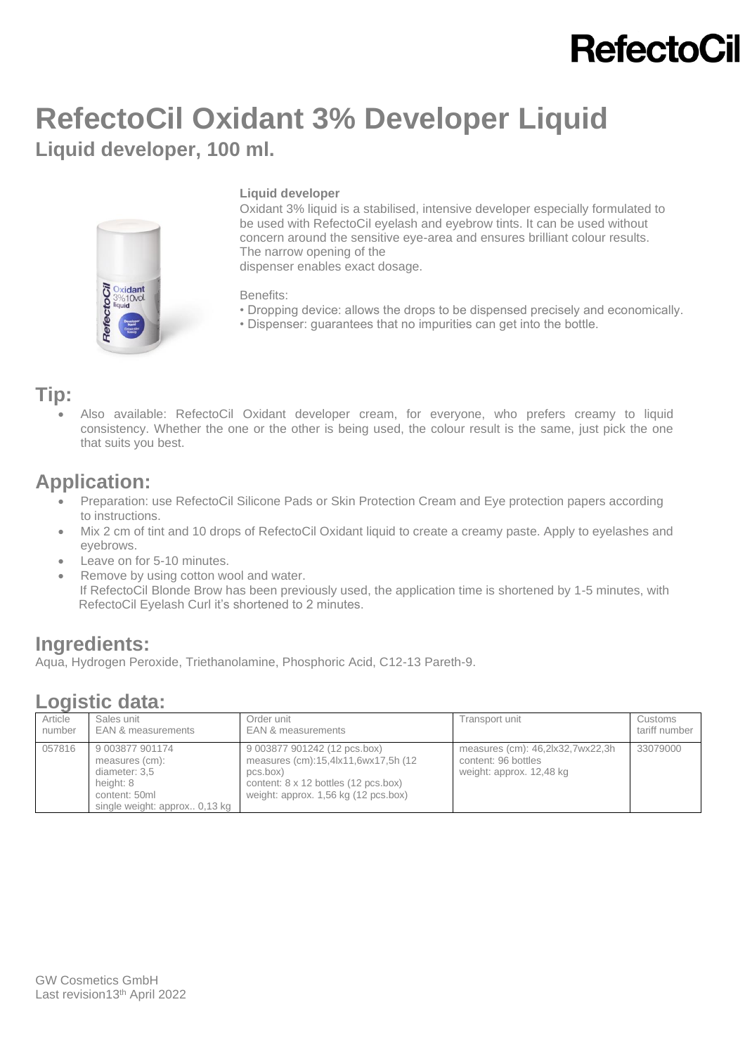## **RefectoCil**

## **RefectoCil Oxidant 3% Developer Liquid Liquid developer, 100 ml.**



### **Liquid developer**

Oxidant 3% liquid is a stabilised, intensive developer especially formulated to be used with RefectoCil eyelash and eyebrow tints. It can be used without concern around the sensitive eye-area and ensures brilliant colour results. The narrow opening of the dispenser enables exact dosage.

Benefits:

- Dropping device: allows the drops to be dispensed precisely and economically.
- Dispenser: guarantees that no impurities can get into the bottle.

### **Tip:**

• Also available: RefectoCil Oxidant developer cream, for everyone, who prefers creamy to liquid consistency. Whether the one or the other is being used, the colour result is the same, just pick the one that suits you best.

## **Application:**

- Preparation: use RefectoCil Silicone Pads or Skin Protection Cream and Eye protection papers according to instructions.
- Mix 2 cm of tint and 10 drops of [RefectoCil Oxidant liquid](http://en.refectocil.at/product/oxidant-3-fluessig/) to create a creamy paste. Apply to eyelashes and eyebrows.
- Leave on for 5-10 minutes.
- Remove by using cotton wool and water. If RefectoCil Blonde Brow has been previously used, the application time is shortened by 1-5 minutes, with RefectoCil Eyelash Curl it's shortened to 2 minutes.

### **Ingredients:**

Aqua, Hydrogen Peroxide, Triethanolamine, Phosphoric Acid, C12-13 Pareth-9.

### **Logistic data:**

| Article | Sales unit                                                                                                        | Order unit                                                                                                                                                      | Transport unit                                                                      | Customs       |
|---------|-------------------------------------------------------------------------------------------------------------------|-----------------------------------------------------------------------------------------------------------------------------------------------------------------|-------------------------------------------------------------------------------------|---------------|
| number  | EAN & measurements                                                                                                | <b>EAN &amp; measurements</b>                                                                                                                                   |                                                                                     | tariff number |
| 057816  | 9 003877 901174<br>measures (cm):<br>diameter: 3,5<br>height: 8<br>content: 50ml<br>single weight: approx 0,13 kg | 9 003877 901242 (12 pcs.box)<br>measures (cm):15,4lx11,6wx17,5h (12<br>pcs.box)<br>content: 8 x 12 bottles (12 pcs.box)<br>weight: approx. 1,56 kg (12 pcs.box) | measures (cm): 46,2lx32,7wx22,3h<br>content: 96 bottles<br>weight: approx. 12,48 kg | 33079000      |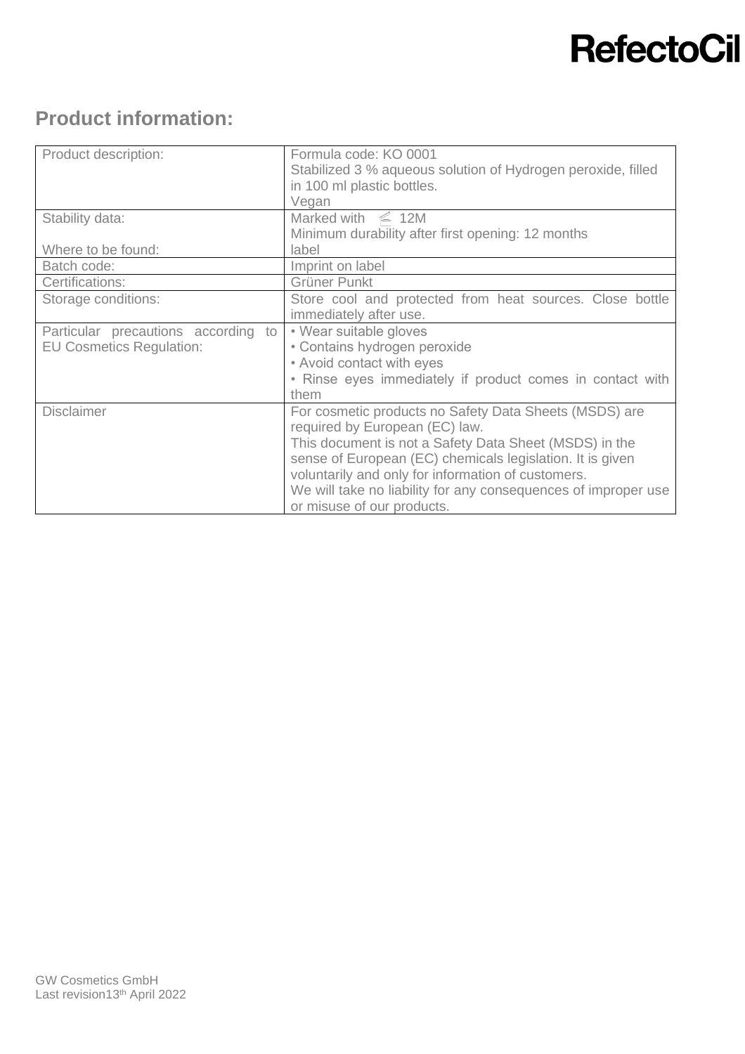# **RefectoCil**

## **Product information:**

| Product description:                | Formula code: KO 0001<br>Stabilized 3 % aqueous solution of Hydrogen peroxide, filled<br>in 100 ml plastic bottles.<br>Vegan |
|-------------------------------------|------------------------------------------------------------------------------------------------------------------------------|
| Stability data:                     | Marked with $\leq 12M$<br>Minimum durability after first opening: 12 months                                                  |
| Where to be found:                  | label                                                                                                                        |
| Batch code:                         | Imprint on label                                                                                                             |
| Certifications:                     | Grüner Punkt                                                                                                                 |
| Storage conditions:                 | Store cool and protected from heat sources. Close bottle<br>immediately after use.                                           |
| Particular precautions according to | • Wear suitable gloves                                                                                                       |
| <b>EU Cosmetics Regulation:</b>     | • Contains hydrogen peroxide                                                                                                 |
|                                     | • Avoid contact with eyes                                                                                                    |
|                                     | • Rinse eyes immediately if product comes in contact with<br>them                                                            |
| <b>Disclaimer</b>                   | For cosmetic products no Safety Data Sheets (MSDS) are<br>required by European (EC) law.                                     |
|                                     | This document is not a Safety Data Sheet (MSDS) in the                                                                       |
|                                     | sense of European (EC) chemicals legislation. It is given                                                                    |
|                                     | voluntarily and only for information of customers.                                                                           |
|                                     | We will take no liability for any consequences of improper use<br>or misuse of our products.                                 |